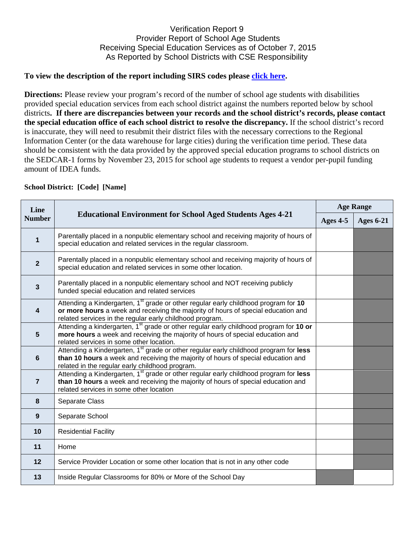## Verification Report 9 Provider Report of School Age Students Receiving Special Education Services as of October 7, 2015 As Reported by School Districts with CSE Responsibility

## **To view the description of the report including SIRS codes please click here.**

**Directions:** Please review your program's record of the number of school age students with disabilities provided special education services from each school district against the numbers reported below by school districts**. If there are discrepancies between your records and the school district's records, please contact the special education office of each school district to resolve the discrepancy.** If the school district's record is inaccurate, they will need to resubmit their district files with the necessary corrections to the Regional Information Center (or the data warehouse for large cities) during the verification time period. These data should be consistent with the data provided by the approved special education programs to school districts on the SEDCAR-1 forms by November 23, 2015 for school age students to request a vendor per-pupil funding amount of IDEA funds.

| <b>School District: [Code] [Name]</b> |                                                                                                                                                                                                                                                  |                  |                  |  |  |
|---------------------------------------|--------------------------------------------------------------------------------------------------------------------------------------------------------------------------------------------------------------------------------------------------|------------------|------------------|--|--|
| Line<br><b>Number</b>                 | <b>Educational Environment for School Aged Students Ages 4-21</b>                                                                                                                                                                                | <b>Age Range</b> |                  |  |  |
|                                       |                                                                                                                                                                                                                                                  | Ages 4-5         | <b>Ages 6-21</b> |  |  |
| $\mathbf{1}$                          | Parentally placed in a nonpublic elementary school and receiving majority of hours of<br>special education and related services in the regular classroom.                                                                                        |                  |                  |  |  |
| $\mathbf{2}$                          | Parentally placed in a nonpublic elementary school and receiving majority of hours of<br>special education and related services in some other location.                                                                                          |                  |                  |  |  |
| $\mathbf{3}$                          | Parentally placed in a nonpublic elementary school and NOT receiving publicly<br>funded special education and related services                                                                                                                   |                  |                  |  |  |
| 4                                     | Attending a Kindergarten, 1 <sup>st</sup> grade or other regular early childhood program for 10<br>or more hours a week and receiving the majority of hours of special education and<br>related services in the regular early childhood program. |                  |                  |  |  |
| 5                                     | Attending a kindergarten, 1 <sup>st</sup> grade or other regular early childhood program for 10 or<br>more hours a week and receiving the majority of hours of special education and<br>related services in some other location.                 |                  |                  |  |  |
| 6                                     | Attending a Kindergarten, 1 <sup>st</sup> grade or other regular early childhood program for less<br>than 10 hours a week and receiving the majority of hours of special education and<br>related in the regular early childhood program.        |                  |                  |  |  |
| $\overline{7}$                        | Attending a Kindergarten, 1 <sup>st</sup> grade or other regular early childhood program for less<br>than 10 hours a week and receiving the majority of hours of special education and<br>related services in some other location                |                  |                  |  |  |
| 8                                     | Separate Class                                                                                                                                                                                                                                   |                  |                  |  |  |
| $\boldsymbol{9}$                      | Separate School                                                                                                                                                                                                                                  |                  |                  |  |  |
| 10                                    | <b>Residential Facility</b>                                                                                                                                                                                                                      |                  |                  |  |  |
| 11                                    | Home                                                                                                                                                                                                                                             |                  |                  |  |  |
| 12                                    | Service Provider Location or some other location that is not in any other code                                                                                                                                                                   |                  |                  |  |  |
| 13                                    | Inside Regular Classrooms for 80% or More of the School Day                                                                                                                                                                                      |                  |                  |  |  |